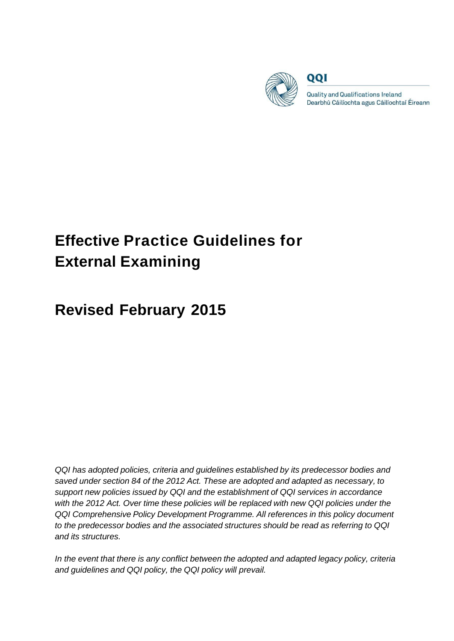

QQI

**Quality and Qualifications Ireland** Dearbhú Cáilíochta agus Cáilíochtaí Éireann

# **Effective Practice Guidelines for External Examining**

# **Revised February 2015**

*QQI has adopted policies, criteria and guidelines established by its predecessor bodies and saved under section 84 of the 2012 Act. These are adopted and adapted as necessary, to support new policies issued by QQI and the establishment of QQI services in accordance with the 2012 Act. Over time these policies will be replaced with new QQI policies under the QQI Comprehensive Policy Development Programme. All references in this policy document to the predecessor bodies and the associated structures should be read as referring to QQI and its structures.*

*In the event that there is any conflict between the adopted and adapted legacy policy, criteria and guidelines and QQI policy, the QQI policy will prevail.*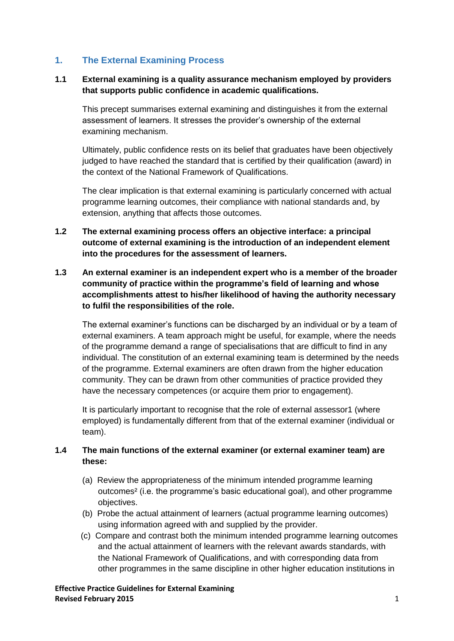#### **1. The External Examining Process**

#### **1.1 External examining is a quality assurance mechanism employed by providers that supports public confidence in academic qualifications.**

This precept summarises external examining and distinguishes it from the external assessment of learners. It stresses the provider's ownership of the external examining mechanism.

Ultimately, public confidence rests on its belief that graduates have been objectively judged to have reached the standard that is certified by their qualification (award) in the context of the National Framework of Qualifications.

The clear implication is that external examining is particularly concerned with actual programme learning outcomes, their compliance with national standards and, by extension, anything that affects those outcomes.

- **1.2 The external examining process offers an objective interface: a principal outcome of external examining is the introduction of an independent element into the procedures for the assessment of learners.**
- **1.3 An external examiner is an independent expert who is a member of the broader community of practice within the programme's field of learning and whose accomplishments attest to his/her likelihood of having the authority necessary to fulfil the responsibilities of the role.**

The external examiner's functions can be discharged by an individual or by a team of external examiners. A team approach might be useful, for example, where the needs of the programme demand a range of specialisations that are difficult to find in any individual. The constitution of an external examining team is determined by the needs of the programme. External examiners are often drawn from the higher education community. They can be drawn from other communities of practice provided they have the necessary competences (or acquire them prior to engagement).

It is particularly important to recognise that the role of external assessor1 (where employed) is fundamentally different from that of the external examiner (individual or team).

#### **1.4 The main functions of the external examiner (or external examiner team) are these:**

- (a) Review the appropriateness of the minimum intended programme learning outcomes² (i.e. the programme's basic educational goal), and other programme objectives.
- (b) Probe the actual attainment of learners (actual programme learning outcomes) using information agreed with and supplied by the provider.
- (c) Compare and contrast both the minimum intended programme learning outcomes and the actual attainment of learners with the relevant awards standards, with the National Framework of Qualifications, and with corresponding data from other programmes in the same discipline in other higher education institutions in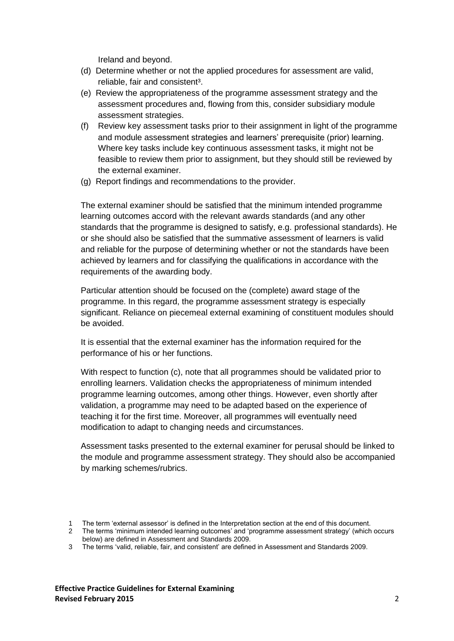Ireland and beyond.

- (d) Determine whether or not the applied procedures for assessment are valid, reliable, fair and consistent<sup>3</sup>.
- (e) Review the appropriateness of the programme assessment strategy and the assessment procedures and, flowing from this, consider subsidiary module assessment strategies.
- (f) Review key assessment tasks prior to their assignment in light of the programme and module assessment strategies and learners' prerequisite (prior) learning. Where key tasks include key continuous assessment tasks, it might not be feasible to review them prior to assignment, but they should still be reviewed by the external examiner.
- (g) Report findings and recommendations to the provider.

The external examiner should be satisfied that the minimum intended programme learning outcomes accord with the relevant awards standards (and any other standards that the programme is designed to satisfy, e.g. professional standards). He or she should also be satisfied that the summative assessment of learners is valid and reliable for the purpose of determining whether or not the standards have been achieved by learners and for classifying the qualifications in accordance with the requirements of the awarding body.

Particular attention should be focused on the (complete) award stage of the programme. In this regard, the programme assessment strategy is especially significant. Reliance on piecemeal external examining of constituent modules should be avoided.

It is essential that the external examiner has the information required for the performance of his or her functions.

With respect to function (c), note that all programmes should be validated prior to enrolling learners. Validation checks the appropriateness of minimum intended programme learning outcomes, among other things. However, even shortly after validation, a programme may need to be adapted based on the experience of teaching it for the first time. Moreover, all programmes will eventually need modification to adapt to changing needs and circumstances.

Assessment tasks presented to the external examiner for perusal should be linked to the module and programme assessment strategy. They should also be accompanied by marking schemes/rubrics.

<sup>1</sup> The term 'external assessor' is defined in the Interpretation section at the end of this document.

<sup>2</sup> The terms 'minimum intended learning outcomes' and 'programme assessment strategy' (which occurs below) are defined in Assessment and Standards 2009.

<sup>3</sup> The terms 'valid, reliable, fair, and consistent' are defined in Assessment and Standards 2009.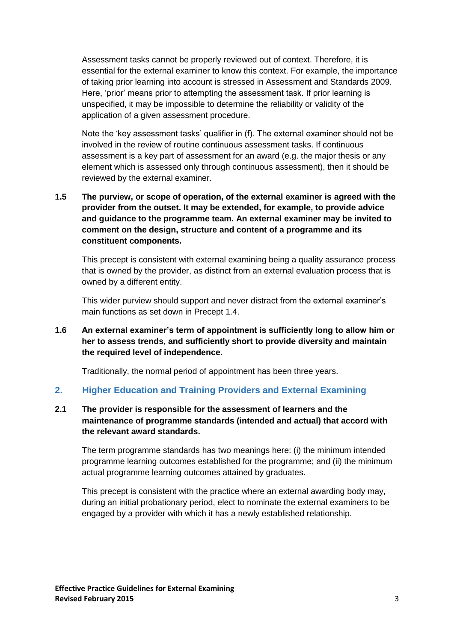Assessment tasks cannot be properly reviewed out of context. Therefore, it is essential for the external examiner to know this context. For example, the importance of taking prior learning into account is stressed in Assessment and Standards 2009. Here, 'prior' means prior to attempting the assessment task. If prior learning is unspecified, it may be impossible to determine the reliability or validity of the application of a given assessment procedure.

Note the 'key assessment tasks' qualifier in (f). The external examiner should not be involved in the review of routine continuous assessment tasks. If continuous assessment is a key part of assessment for an award (e.g. the major thesis or any element which is assessed only through continuous assessment), then it should be reviewed by the external examiner.

**1.5 The purview, or scope of operation, of the external examiner is agreed with the provider from the outset. It may be extended, for example, to provide advice and guidance to the programme team. An external examiner may be invited to comment on the design, structure and content of a programme and its constituent components.**

This precept is consistent with external examining being a quality assurance process that is owned by the provider, as distinct from an external evaluation process that is owned by a different entity.

This wider purview should support and never distract from the external examiner's main functions as set down in Precept 1.4.

**1.6 An external examiner's term of appointment is sufficiently long to allow him or her to assess trends, and sufficiently short to provide diversity and maintain the required level of independence.**

Traditionally, the normal period of appointment has been three years.

#### **2. Higher Education and Training Providers and External Examining**

#### **2.1 The provider is responsible for the assessment of learners and the maintenance of programme standards (intended and actual) that accord with the relevant award standards.**

The term programme standards has two meanings here: (i) the minimum intended programme learning outcomes established for the programme; and (ii) the minimum actual programme learning outcomes attained by graduates.

This precept is consistent with the practice where an external awarding body may, during an initial probationary period, elect to nominate the external examiners to be engaged by a provider with which it has a newly established relationship.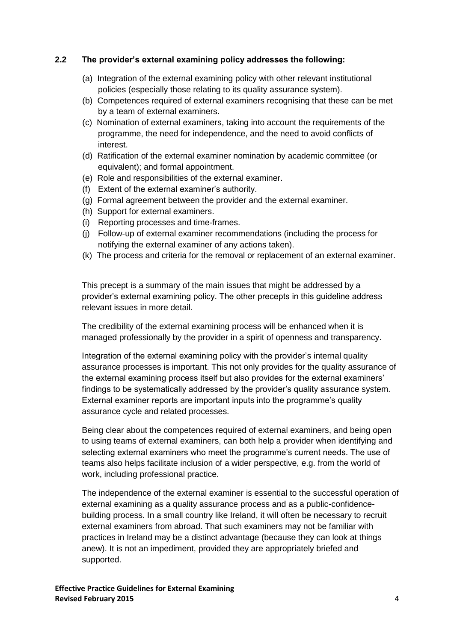#### **2.2 The provider's external examining policy addresses the following:**

- (a) Integration of the external examining policy with other relevant institutional policies (especially those relating to its quality assurance system).
- (b) Competences required of external examiners recognising that these can be met by a team of external examiners.
- (c) Nomination of external examiners, taking into account the requirements of the programme, the need for independence, and the need to avoid conflicts of interest.
- (d) Ratification of the external examiner nomination by academic committee (or equivalent); and formal appointment.
- (e) Role and responsibilities of the external examiner.
- (f) Extent of the external examiner's authority.
- (g) Formal agreement between the provider and the external examiner.
- (h) Support for external examiners.
- (i) Reporting processes and time-frames.
- (j) Follow-up of external examiner recommendations (including the process for notifying the external examiner of any actions taken).
- (k) The process and criteria for the removal or replacement of an external examiner.

This precept is a summary of the main issues that might be addressed by a provider's external examining policy. The other precepts in this guideline address relevant issues in more detail.

The credibility of the external examining process will be enhanced when it is managed professionally by the provider in a spirit of openness and transparency.

Integration of the external examining policy with the provider's internal quality assurance processes is important. This not only provides for the quality assurance of the external examining process itself but also provides for the external examiners' findings to be systematically addressed by the provider's quality assurance system. External examiner reports are important inputs into the programme's quality assurance cycle and related processes.

Being clear about the competences required of external examiners, and being open to using teams of external examiners, can both help a provider when identifying and selecting external examiners who meet the programme's current needs. The use of teams also helps facilitate inclusion of a wider perspective, e.g. from the world of work, including professional practice.

The independence of the external examiner is essential to the successful operation of external examining as a quality assurance process and as a public-confidencebuilding process. In a small country like Ireland, it will often be necessary to recruit external examiners from abroad. That such examiners may not be familiar with practices in Ireland may be a distinct advantage (because they can look at things anew). It is not an impediment, provided they are appropriately briefed and supported.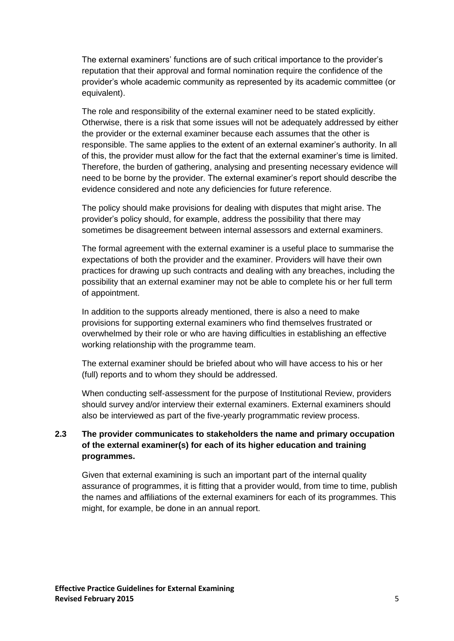The external examiners' functions are of such critical importance to the provider's reputation that their approval and formal nomination require the confidence of the provider's whole academic community as represented by its academic committee (or equivalent).

The role and responsibility of the external examiner need to be stated explicitly. Otherwise, there is a risk that some issues will not be adequately addressed by either the provider or the external examiner because each assumes that the other is responsible. The same applies to the extent of an external examiner's authority. In all of this, the provider must allow for the fact that the external examiner's time is limited. Therefore, the burden of gathering, analysing and presenting necessary evidence will need to be borne by the provider. The external examiner's report should describe the evidence considered and note any deficiencies for future reference.

The policy should make provisions for dealing with disputes that might arise. The provider's policy should, for example, address the possibility that there may sometimes be disagreement between internal assessors and external examiners.

The formal agreement with the external examiner is a useful place to summarise the expectations of both the provider and the examiner. Providers will have their own practices for drawing up such contracts and dealing with any breaches, including the possibility that an external examiner may not be able to complete his or her full term of appointment.

In addition to the supports already mentioned, there is also a need to make provisions for supporting external examiners who find themselves frustrated or overwhelmed by their role or who are having difficulties in establishing an effective working relationship with the programme team.

The external examiner should be briefed about who will have access to his or her (full) reports and to whom they should be addressed.

When conducting self-assessment for the purpose of Institutional Review, providers should survey and/or interview their external examiners. External examiners should also be interviewed as part of the five-yearly programmatic review process.

#### **2.3 The provider communicates to stakeholders the name and primary occupation of the external examiner(s) for each of its higher education and training programmes.**

Given that external examining is such an important part of the internal quality assurance of programmes, it is fitting that a provider would, from time to time, publish the names and affiliations of the external examiners for each of its programmes. This might, for example, be done in an annual report.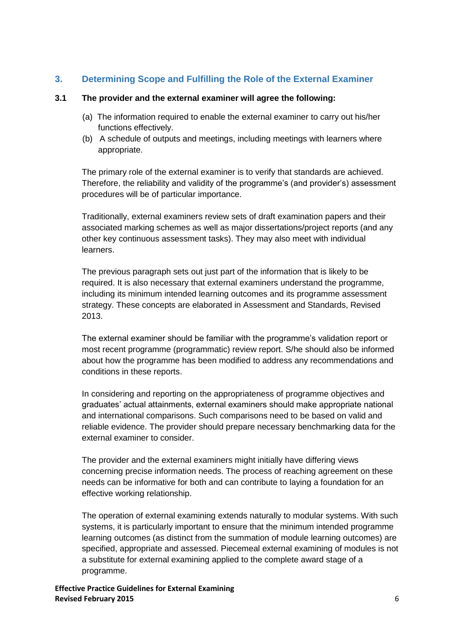#### **3. Determining Scope and Fulfilling the Role of the External Examiner**

#### **3.1 The provider and the external examiner will agree the following:**

- (a) The information required to enable the external examiner to carry out his/her functions effectively.
- (b) A schedule of outputs and meetings, including meetings with learners where appropriate.

The primary role of the external examiner is to verify that standards are achieved. Therefore, the reliability and validity of the programme's (and provider's) assessment procedures will be of particular importance.

Traditionally, external examiners review sets of draft examination papers and their associated marking schemes as well as major dissertations/project reports (and any other key continuous assessment tasks). They may also meet with individual learners.

The previous paragraph sets out just part of the information that is likely to be required. It is also necessary that external examiners understand the programme, including its minimum intended learning outcomes and its programme assessment strategy. These concepts are elaborated in Assessment and Standards, Revised 2013.

The external examiner should be familiar with the programme's validation report or most recent programme (programmatic) review report. S/he should also be informed about how the programme has been modified to address any recommendations and conditions in these reports.

In considering and reporting on the appropriateness of programme objectives and graduates' actual attainments, external examiners should make appropriate national and international comparisons. Such comparisons need to be based on valid and reliable evidence. The provider should prepare necessary benchmarking data for the external examiner to consider.

The provider and the external examiners might initially have differing views concerning precise information needs. The process of reaching agreement on these needs can be informative for both and can contribute to laying a foundation for an effective working relationship.

The operation of external examining extends naturally to modular systems. With such systems, it is particularly important to ensure that the minimum intended programme learning outcomes (as distinct from the summation of module learning outcomes) are specified, appropriate and assessed. Piecemeal external examining of modules is not a substitute for external examining applied to the complete award stage of a programme.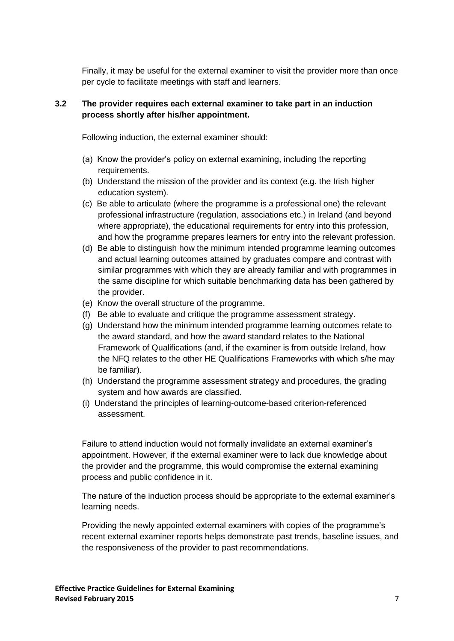Finally, it may be useful for the external examiner to visit the provider more than once per cycle to facilitate meetings with staff and learners.

#### **3.2 The provider requires each external examiner to take part in an induction process shortly after his/her appointment.**

Following induction, the external examiner should:

- (a) Know the provider's policy on external examining, including the reporting requirements.
- (b) Understand the mission of the provider and its context (e.g. the Irish higher education system).
- (c) Be able to articulate (where the programme is a professional one) the relevant professional infrastructure (regulation, associations etc.) in Ireland (and beyond where appropriate), the educational requirements for entry into this profession, and how the programme prepares learners for entry into the relevant profession.
- (d) Be able to distinguish how the minimum intended programme learning outcomes and actual learning outcomes attained by graduates compare and contrast with similar programmes with which they are already familiar and with programmes in the same discipline for which suitable benchmarking data has been gathered by the provider.
- (e) Know the overall structure of the programme.
- (f) Be able to evaluate and critique the programme assessment strategy.
- (g) Understand how the minimum intended programme learning outcomes relate to the award standard, and how the award standard relates to the National Framework of Qualifications (and, if the examiner is from outside Ireland, how the NFQ relates to the other HE Qualifications Frameworks with which s/he may be familiar).
- (h) Understand the programme assessment strategy and procedures, the grading system and how awards are classified.
- (i) Understand the principles of learning-outcome-based criterion-referenced assessment.

Failure to attend induction would not formally invalidate an external examiner's appointment. However, if the external examiner were to lack due knowledge about the provider and the programme, this would compromise the external examining process and public confidence in it.

The nature of the induction process should be appropriate to the external examiner's learning needs.

Providing the newly appointed external examiners with copies of the programme's recent external examiner reports helps demonstrate past trends, baseline issues, and the responsiveness of the provider to past recommendations.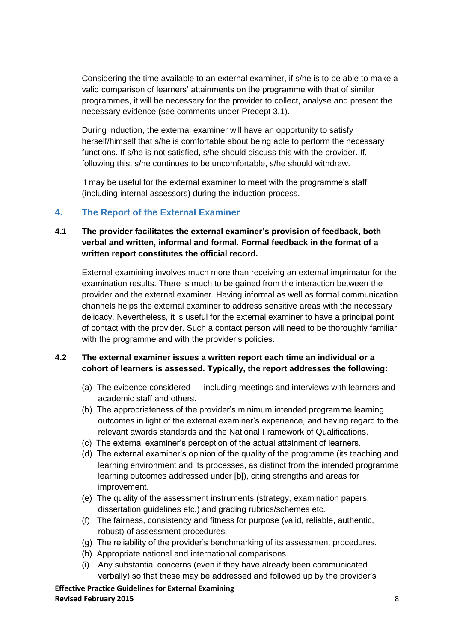Considering the time available to an external examiner, if s/he is to be able to make a valid comparison of learners' attainments on the programme with that of similar programmes, it will be necessary for the provider to collect, analyse and present the necessary evidence (see comments under Precept 3.1).

During induction, the external examiner will have an opportunity to satisfy herself/himself that s/he is comfortable about being able to perform the necessary functions. If s/he is not satisfied, s/he should discuss this with the provider. If, following this, s/he continues to be uncomfortable, s/he should withdraw.

It may be useful for the external examiner to meet with the programme's staff (including internal assessors) during the induction process.

#### **4. The Report of the External Examiner**

#### **4.1 The provider facilitates the external examiner's provision of feedback, both verbal and written, informal and formal. Formal feedback in the format of a written report constitutes the official record.**

External examining involves much more than receiving an external imprimatur for the examination results. There is much to be gained from the interaction between the provider and the external examiner. Having informal as well as formal communication channels helps the external examiner to address sensitive areas with the necessary delicacy. Nevertheless, it is useful for the external examiner to have a principal point of contact with the provider. Such a contact person will need to be thoroughly familiar with the programme and with the provider's policies.

#### **4.2 The external examiner issues a written report each time an individual or a cohort of learners is assessed. Typically, the report addresses the following:**

- (a) The evidence considered including meetings and interviews with learners and academic staff and others.
- (b) The appropriateness of the provider's minimum intended programme learning outcomes in light of the external examiner's experience, and having regard to the relevant awards standards and the National Framework of Qualifications.
- (c) The external examiner's perception of the actual attainment of learners.
- (d) The external examiner's opinion of the quality of the programme (its teaching and learning environment and its processes, as distinct from the intended programme learning outcomes addressed under [b]), citing strengths and areas for improvement.
- (e) The quality of the assessment instruments (strategy, examination papers, dissertation guidelines etc.) and grading rubrics/schemes etc.
- (f) The fairness, consistency and fitness for purpose (valid, reliable, authentic, robust) of assessment procedures.
- (g) The reliability of the provider's benchmarking of its assessment procedures.
- (h) Appropriate national and international comparisons.
- (i) Any substantial concerns (even if they have already been communicated verbally) so that these may be addressed and followed up by the provider's

**Effective Practice Guidelines for External Examining Revised February 2015** 8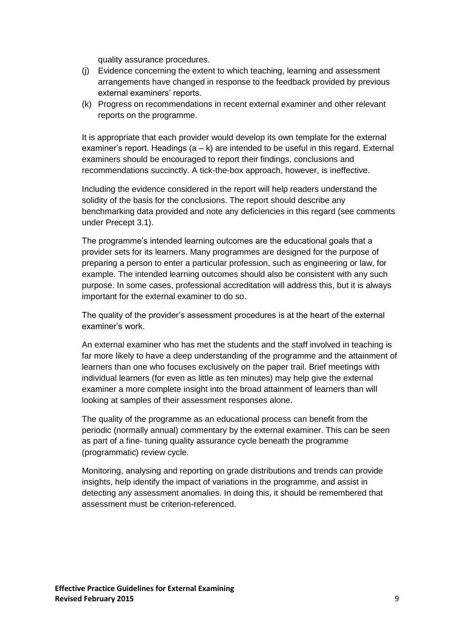quality assurance procedures.

- (j) Evidence concerning the extent to which teaching, learning and assessment arrangements have changed in response to the feedback provided by previous external examiners' reports.
- (k) Progress on recommendations in recent external examiner and other relevant reports on the programme.

It is appropriate that each provider would develop its own template for the external examiner's report. Headings  $(a - k)$  are intended to be useful in this regard. External examiners should be encouraged to report their findings, conclusions and recommendations succinctly. A tick-the-box approach, however, is ineffective.

Including the evidence considered in the report will help readers understand the solidity of the basis for the conclusions. The report should describe any benchmarking data provided and note any deficiencies in this regard (see comments under Precept 3.1).

The programme's intended learning outcomes are the educational goals that a provider sets for its learners. Many programmes are designed for the purpose of preparing a person to enter a particular profession, such as engineering or law, for example. The intended learning outcomes should also be consistent with any such purpose. In some cases, professional accreditation will address this, but it is always important for the external examiner to do so.

The quality of the provider's assessment procedures is at the heart of the external examiner's work.

An external examiner who has met the students and the staff involved in teaching is far more likely to have a deep understanding of the programme and the attainment of learners than one who focuses exclusively on the paper trail. Brief meetings with individual learners (for even as little as ten minutes) may help give the external examiner a more complete insight into the broad attainment of learners than will looking at samples of their assessment responses alone.

The quality of the programme as an educational process can benefit from the periodic (normally annual) commentary by the external examiner. This can be seen as part of a fine- tuning quality assurance cycle beneath the programme (programmatic) review cycle.

Monitoring, analysing and reporting on grade distributions and trends can provide insights, help identify the impact of variations in the programme, and assist in detecting any assessment anomalies. In doing this, it should be remembered that assessment must be criterion-referenced.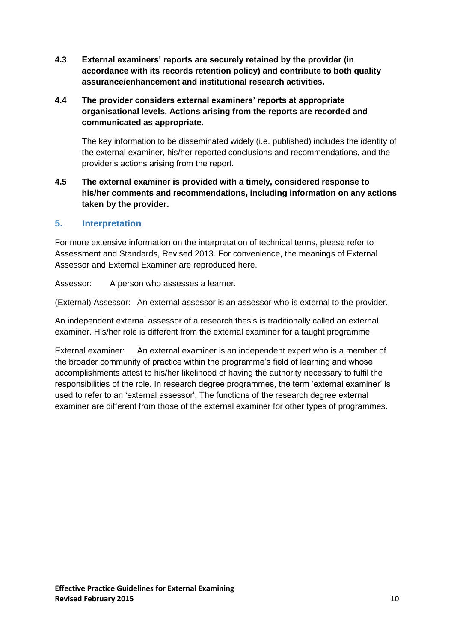**4.3 External examiners' reports are securely retained by the provider (in accordance with its records retention policy) and contribute to both quality assurance/enhancement and institutional research activities.**

#### **4.4 The provider considers external examiners' reports at appropriate organisational levels. Actions arising from the reports are recorded and communicated as appropriate.**

The key information to be disseminated widely (i.e. published) includes the identity of the external examiner, his/her reported conclusions and recommendations, and the provider's actions arising from the report.

**4.5 The external examiner is provided with a timely, considered response to his/her comments and recommendations, including information on any actions taken by the provider.**

#### **5. Interpretation**

For more extensive information on the interpretation of technical terms, please refer to Assessment and Standards, Revised 2013. For convenience, the meanings of External Assessor and External Examiner are reproduced here.

Assessor: A person who assesses a learner.

(External) Assessor: An external assessor is an assessor who is external to the provider.

An independent external assessor of a research thesis is traditionally called an external examiner. His/her role is different from the external examiner for a taught programme.

External examiner: An external examiner is an independent expert who is a member of the broader community of practice within the programme's field of learning and whose accomplishments attest to his/her likelihood of having the authority necessary to fulfil the responsibilities of the role. In research degree programmes, the term 'external examiner' is used to refer to an 'external assessor'. The functions of the research degree external examiner are different from those of the external examiner for other types of programmes.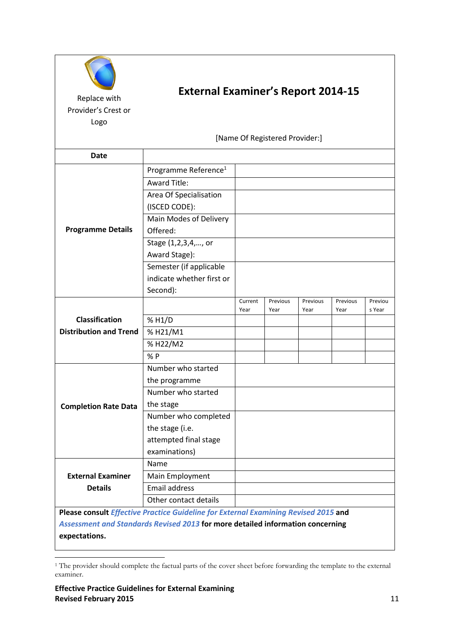| Replace with<br>Provider's Crest or<br>Logo                                         | <b>External Examiner's Report 2014-15</b><br>[Name Of Registered Provider:] |         |          |          |          |         |
|-------------------------------------------------------------------------------------|-----------------------------------------------------------------------------|---------|----------|----------|----------|---------|
| Date                                                                                |                                                                             |         |          |          |          |         |
|                                                                                     | Programme Reference <sup>1</sup>                                            |         |          |          |          |         |
| <b>Programme Details</b>                                                            | <b>Award Title:</b>                                                         |         |          |          |          |         |
|                                                                                     |                                                                             |         |          |          |          |         |
|                                                                                     | Area Of Specialisation                                                      |         |          |          |          |         |
|                                                                                     | (ISCED CODE):                                                               |         |          |          |          |         |
|                                                                                     | Main Modes of Delivery                                                      |         |          |          |          |         |
|                                                                                     | Offered:                                                                    |         |          |          |          |         |
|                                                                                     | Stage (1,2,3,4,, or                                                         |         |          |          |          |         |
|                                                                                     | Award Stage):                                                               |         |          |          |          |         |
|                                                                                     | Semester (if applicable                                                     |         |          |          |          |         |
|                                                                                     | indicate whether first or                                                   |         |          |          |          |         |
|                                                                                     | Second):                                                                    |         |          |          |          |         |
|                                                                                     |                                                                             | Current | Previous | Previous | Previous | Previou |
|                                                                                     |                                                                             | Year    | Year     | Year     | Year     | s Year  |
| <b>Classification</b>                                                               | % H1/D                                                                      |         |          |          |          |         |
| <b>Distribution and Trend</b>                                                       | %H21/M1                                                                     |         |          |          |          |         |
|                                                                                     | % H22/M2                                                                    |         |          |          |          |         |
|                                                                                     | % P                                                                         |         |          |          |          |         |
| <b>Completion Rate Data</b>                                                         | Number who started                                                          |         |          |          |          |         |
|                                                                                     | the programme                                                               |         |          |          |          |         |
|                                                                                     | Number who started                                                          |         |          |          |          |         |
|                                                                                     | the stage                                                                   |         |          |          |          |         |
|                                                                                     | Number who completed                                                        |         |          |          |          |         |
|                                                                                     | the stage (i.e.                                                             |         |          |          |          |         |
|                                                                                     | attempted final stage                                                       |         |          |          |          |         |
|                                                                                     | examinations)                                                               |         |          |          |          |         |
|                                                                                     | Name                                                                        |         |          |          |          |         |
| <b>External Examiner</b>                                                            | Main Employment                                                             |         |          |          |          |         |
| <b>Details</b>                                                                      | Email address                                                               |         |          |          |          |         |
|                                                                                     | Other contact details                                                       |         |          |          |          |         |
|                                                                                     |                                                                             |         |          |          |          |         |
| Please consult Effective Practice Guideline for External Examining Revised 2015 and |                                                                             |         |          |          |          |         |
| Assessment and Standards Revised 2013 for more detailed information concerning      |                                                                             |         |          |          |          |         |
| expectations.                                                                       |                                                                             |         |          |          |          |         |

**<sup>.</sup>** <sup>1</sup> The provider should complete the factual parts of the cover sheet before forwarding the template to the external examiner.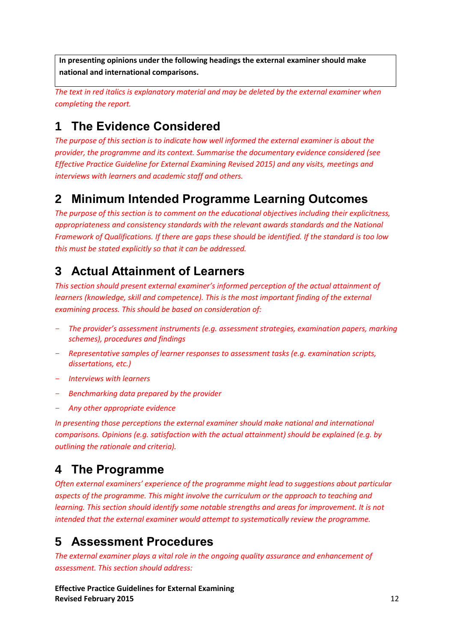**In presenting opinions under the following headings the external examiner should make national and international comparisons.**

*The text in red italics is explanatory material and may be deleted by the external examiner when completing the report.*

# **1 The Evidence Considered**

*The purpose of this section is to indicate how well informed the external examiner is about the provider, the programme and its context. Summarise the documentary evidence considered (see Effective Practice Guideline for External Examining Revised 2015) and any visits, meetings and interviews with learners and academic staff and others.*

# **2 Minimum Intended Programme Learning Outcomes**

*The purpose of this section is to comment on the educational objectives including their explicitness, appropriateness and consistency standards with the relevant awards standards and the National Framework of Qualifications. If there are gaps these should be identified. If the standard is too low this must be stated explicitly so that it can be addressed.*

# **3 Actual Attainment of Learners**

*This section should present external examiner's informed perception of the actual attainment of learners (knowledge, skill and competence). This is the most important finding of the external examining process. This should be based on consideration of:*

- *The provider's assessment instruments (e.g. assessment strategies, examination papers, marking schemes), procedures and findings*
- *Representative samples of learner responses to assessment tasks (e.g. examination scripts, dissertations, etc.)*
- *Interviews with learners*
- *Benchmarking data prepared by the provider*
- *Any other appropriate evidence*

*In presenting those perceptions the external examiner should make national and international comparisons. Opinions (e.g. satisfaction with the actual attainment) should be explained (e.g. by outlining the rationale and criteria).* 

# **4 The Programme**

*Often external examiners' experience of the programme might lead to suggestions about particular aspects of the programme. This might involve the curriculum or the approach to teaching and learning. This section should identify some notable strengths and areas for improvement. It is not intended that the external examiner would attempt to systematically review the programme.* 

# **5 Assessment Procedures**

*The external examiner plays a vital role in the ongoing quality assurance and enhancement of assessment. This section should address:*

**Effective Practice Guidelines for External Examining Revised February 2015** 12